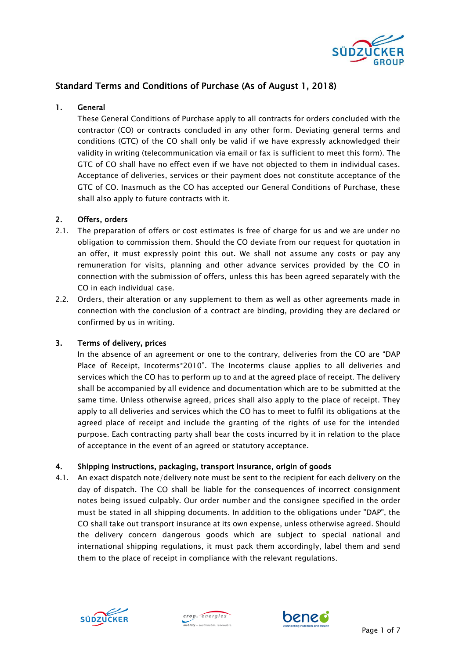

# Standard Terms and Conditions of Purchase (As of August 1, 2018)

# 1. General

These General Conditions of Purchase apply to all contracts for orders concluded with the contractor (CO) or contracts concluded in any other form. Deviating general terms and conditions (GTC) of the CO shall only be valid if we have expressly acknowledged their validity in writing (telecommunication via email or fax is sufficient to meet this form). The GTC of CO shall have no effect even if we have not objected to them in individual cases. Acceptance of deliveries, services or their payment does not constitute acceptance of the GTC of CO. Inasmuch as the CO has accepted our General Conditions of Purchase, these shall also apply to future contracts with it.

# 2. Offers, orders

- 2.1. The preparation of offers or cost estimates is free of charge for us and we are under no obligation to commission them. Should the CO deviate from our request for quotation in an offer, it must expressly point this out. We shall not assume any costs or pay any remuneration for visits, planning and other advance services provided by the CO in connection with the submission of offers, unless this has been agreed separately with the CO in each individual case.
- 2.2. Orders, their alteration or any supplement to them as well as other agreements made in connection with the conclusion of a contract are binding, providing they are declared or confirmed by us in writing.

# 3. Terms of delivery, prices

In the absence of an agreement or one to the contrary, deliveries from the CO are "DAP Place of Receipt, Incoterms®2010". The Incoterms clause applies to all deliveries and services which the CO has to perform up to and at the agreed place of receipt. The delivery shall be accompanied by all evidence and documentation which are to be submitted at the same time. Unless otherwise agreed, prices shall also apply to the place of receipt. They apply to all deliveries and services which the CO has to meet to fulfil its obligations at the agreed place of receipt and include the granting of the rights of use for the intended purpose. Each contracting party shall bear the costs incurred by it in relation to the place of acceptance in the event of an agreed or statutory acceptance.

# 4. Shipping instructions, packaging, transport insurance, origin of goods

4.1. An exact dispatch note/delivery note must be sent to the recipient for each delivery on the day of dispatch. The CO shall be liable for the consequences of incorrect consignment notes being issued culpably. Our order number and the consignee specified in the order must be stated in all shipping documents. In addition to the obligations under "DAP", the CO shall take out transport insurance at its own expense, unless otherwise agreed. Should the delivery concern dangerous goods which are subject to special national and international shipping regulations, it must pack them accordingly, label them and send them to the place of receipt in compliance with the relevant regulations.





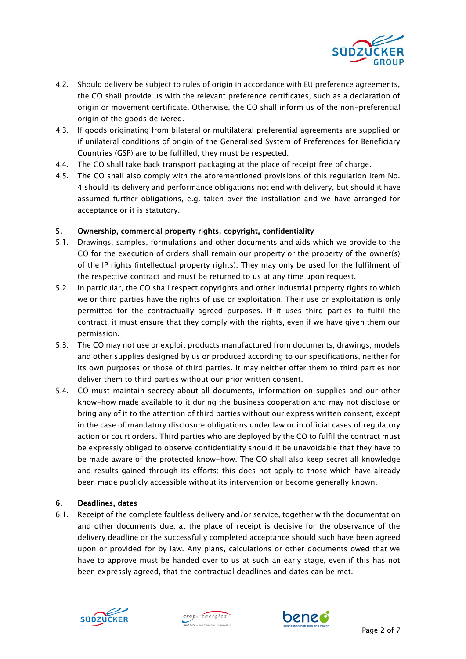

- 4.2. Should delivery be subject to rules of origin in accordance with EU preference agreements, the CO shall provide us with the relevant preference certificates, such as a declaration of origin or movement certificate. Otherwise, the CO shall inform us of the non-preferential origin of the goods delivered.
- 4.3. If goods originating from bilateral or multilateral preferential agreements are supplied or if unilateral conditions of origin of the Generalised System of Preferences for Beneficiary Countries (GSP) are to be fulfilled, they must be respected.
- 4.4. The CO shall take back transport packaging at the place of receipt free of charge.
- 4.5. The CO shall also comply with the aforementioned provisions of this regulation item No. 4 should its delivery and performance obligations not end with delivery, but should it have assumed further obligations, e.g. taken over the installation and we have arranged for acceptance or it is statutory.

# 5. Ownership, commercial property rights, copyright, confidentiality

- 5.1. Drawings, samples, formulations and other documents and aids which we provide to the CO for the execution of orders shall remain our property or the property of the owner(s) of the IP rights (intellectual property rights). They may only be used for the fulfilment of the respective contract and must be returned to us at any time upon request.
- 5.2. In particular, the CO shall respect copyrights and other industrial property rights to which we or third parties have the rights of use or exploitation. Their use or exploitation is only permitted for the contractually agreed purposes. If it uses third parties to fulfil the contract, it must ensure that they comply with the rights, even if we have given them our permission.
- 5.3. The CO may not use or exploit products manufactured from documents, drawings, models and other supplies designed by us or produced according to our specifications, neither for its own purposes or those of third parties. It may neither offer them to third parties nor deliver them to third parties without our prior written consent.
- 5.4. CO must maintain secrecy about all documents, information on supplies and our other know-how made available to it during the business cooperation and may not disclose or bring any of it to the attention of third parties without our express written consent, except in the case of mandatory disclosure obligations under law or in official cases of regulatory action or court orders. Third parties who are deployed by the CO to fulfil the contract must be expressly obliged to observe confidentiality should it be unavoidable that they have to be made aware of the protected know-how. The CO shall also keep secret all knowledge and results gained through its efforts; this does not apply to those which have already been made publicly accessible without its intervention or become generally known.

# 6. Deadlines, dates

6.1. Receipt of the complete faultless delivery and/or service, together with the documentation and other documents due, at the place of receipt is decisive for the observance of the delivery deadline or the successfully completed acceptance should such have been agreed upon or provided for by law. Any plans, calculations or other documents owed that we have to approve must be handed over to us at such an early stage, even if this has not been expressly agreed, that the contractual deadlines and dates can be met.





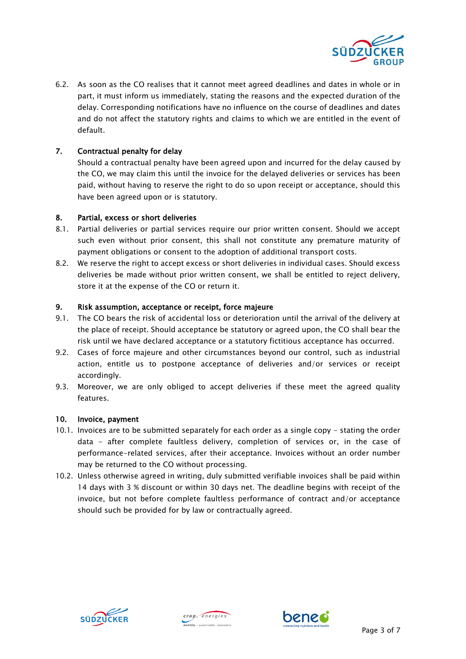

6.2. As soon as the CO realises that it cannot meet agreed deadlines and dates in whole or in part, it must inform us immediately, stating the reasons and the expected duration of the delay. Corresponding notifications have no influence on the course of deadlines and dates and do not affect the statutory rights and claims to which we are entitled in the event of default.

# 7. Contractual penalty for delay

Should a contractual penalty have been agreed upon and incurred for the delay caused by the CO, we may claim this until the invoice for the delayed deliveries or services has been paid, without having to reserve the right to do so upon receipt or acceptance, should this have been agreed upon or is statutory.

# 8. Partial, excess or short deliveries

- 8.1. Partial deliveries or partial services require our prior written consent. Should we accept such even without prior consent, this shall not constitute any premature maturity of payment obligations or consent to the adoption of additional transport costs.
- 8.2. We reserve the right to accept excess or short deliveries in individual cases. Should excess deliveries be made without prior written consent, we shall be entitled to reject delivery, store it at the expense of the CO or return it.

### 9. Risk assumption, acceptance or receipt, force majeure

- 9.1. The CO bears the risk of accidental loss or deterioration until the arrival of the delivery at the place of receipt. Should acceptance be statutory or agreed upon, the CO shall bear the risk until we have declared acceptance or a statutory fictitious acceptance has occurred.
- 9.2. Cases of force majeure and other circumstances beyond our control, such as industrial action, entitle us to postpone acceptance of deliveries and/or services or receipt accordingly.
- 9.3. Moreover, we are only obliged to accept deliveries if these meet the agreed quality features.

#### 10. Invoice, payment

- 10.1. Invoices are to be submitted separately for each order as a single copy stating the order data - after complete faultless delivery, completion of services or, in the case of performance-related services, after their acceptance. Invoices without an order number may be returned to the CO without processing.
- 10.2. Unless otherwise agreed in writing, duly submitted verifiable invoices shall be paid within 14 days with 3 % discount or within 30 days net. The deadline begins with receipt of the invoice, but not before complete faultless performance of contract and/or acceptance should such be provided for by law or contractually agreed.





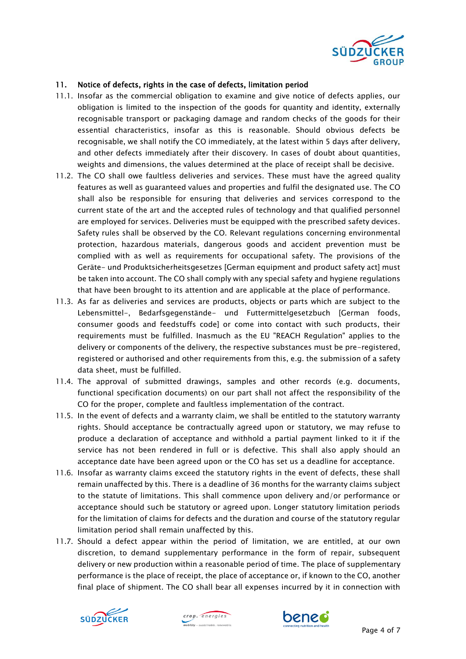

# 11. Notice of defects, rights in the case of defects, limitation period

- 11.1. Insofar as the commercial obligation to examine and give notice of defects applies, our obligation is limited to the inspection of the goods for quantity and identity, externally recognisable transport or packaging damage and random checks of the goods for their essential characteristics, insofar as this is reasonable. Should obvious defects be recognisable, we shall notify the CO immediately, at the latest within 5 days after delivery, and other defects immediately after their discovery. In cases of doubt about quantities, weights and dimensions, the values determined at the place of receipt shall be decisive.
- 11.2. The CO shall owe faultless deliveries and services. These must have the agreed quality features as well as guaranteed values and properties and fulfil the designated use. The CO shall also be responsible for ensuring that deliveries and services correspond to the current state of the art and the accepted rules of technology and that qualified personnel are employed for services. Deliveries must be equipped with the prescribed safety devices. Safety rules shall be observed by the CO. Relevant regulations concerning environmental protection, hazardous materials, dangerous goods and accident prevention must be complied with as well as requirements for occupational safety. The provisions of the Geräte- und Produktsicherheitsgesetzes [German equipment and product safety act] must be taken into account. The CO shall comply with any special safety and hygiene regulations that have been brought to its attention and are applicable at the place of performance.
- 11.3. As far as deliveries and services are products, objects or parts which are subject to the Lebensmittel-, Bedarfsgegenstände- und Futtermittelgesetzbuch [German foods, consumer goods and feedstuffs code] or come into contact with such products, their requirements must be fulfilled. Inasmuch as the EU "REACH Regulation" applies to the delivery or components of the delivery, the respective substances must be pre-registered, registered or authorised and other requirements from this, e.g. the submission of a safety data sheet, must be fulfilled.
- 11.4. The approval of submitted drawings, samples and other records (e.g. documents, functional specification documents) on our part shall not affect the responsibility of the CO for the proper, complete and faultless implementation of the contract.
- 11.5. In the event of defects and a warranty claim, we shall be entitled to the statutory warranty rights. Should acceptance be contractually agreed upon or statutory, we may refuse to produce a declaration of acceptance and withhold a partial payment linked to it if the service has not been rendered in full or is defective. This shall also apply should an acceptance date have been agreed upon or the CO has set us a deadline for acceptance.
- 11.6. Insofar as warranty claims exceed the statutory rights in the event of defects, these shall remain unaffected by this. There is a deadline of 36 months for the warranty claims subject to the statute of limitations. This shall commence upon delivery and/or performance or acceptance should such be statutory or agreed upon. Longer statutory limitation periods for the limitation of claims for defects and the duration and course of the statutory regular limitation period shall remain unaffected by this.
- 11.7. Should a defect appear within the period of limitation, we are entitled, at our own discretion, to demand supplementary performance in the form of repair, subsequent delivery or new production within a reasonable period of time. The place of supplementary performance is the place of receipt, the place of acceptance or, if known to the CO, another final place of shipment. The CO shall bear all expenses incurred by it in connection with





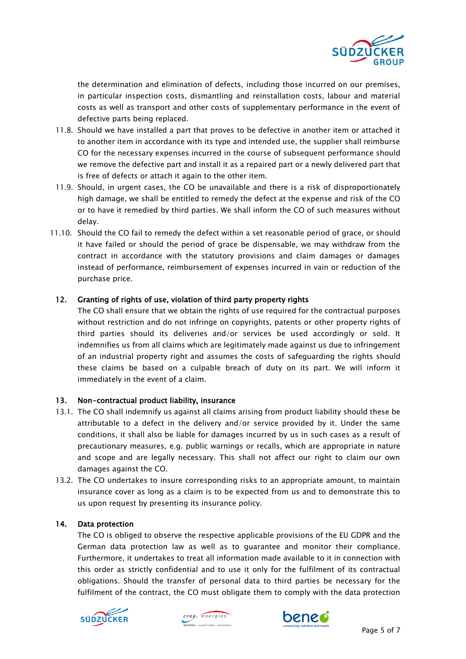

the determination and elimination of defects, including those incurred on our premises, in particular inspection costs, dismantling and reinstallation costs, labour and material costs as well as transport and other costs of supplementary performance in the event of defective parts being replaced.

- 11.8. Should we have installed a part that proves to be defective in another item or attached it to another item in accordance with its type and intended use, the supplier shall reimburse CO for the necessary expenses incurred in the course of subsequent performance should we remove the defective part and install it as a repaired part or a newly delivered part that is free of defects or attach it again to the other item.
- 11.9. Should, in urgent cases, the CO be unavailable and there is a risk of disproportionately high damage, we shall be entitled to remedy the defect at the expense and risk of the CO or to have it remedied by third parties. We shall inform the CO of such measures without delay.
- 11.10. Should the CO fail to remedy the defect within a set reasonable period of grace, or should it have failed or should the period of grace be dispensable, we may withdraw from the contract in accordance with the statutory provisions and claim damages or damages instead of performance, reimbursement of expenses incurred in vain or reduction of the purchase price.

# 12. Granting of rights of use, violation of third party property rights

The CO shall ensure that we obtain the rights of use required for the contractual purposes without restriction and do not infringe on copyrights, patents or other property rights of third parties should its deliveries and/or services be used accordingly or sold. It indemnifies us from all claims which are legitimately made against us due to infringement of an industrial property right and assumes the costs of safeguarding the rights should these claims be based on a culpable breach of duty on its part. We will inform it immediately in the event of a claim.

# 13. Non-contractual product liability, insurance

- 13.1. The CO shall indemnify us against all claims arising from product liability should these be attributable to a defect in the delivery and/or service provided by it. Under the same conditions, it shall also be liable for damages incurred by us in such cases as a result of precautionary measures, e.g. public warnings or recalls, which are appropriate in nature and scope and are legally necessary. This shall not affect our right to claim our own damages against the CO.
- 13.2. The CO undertakes to insure corresponding risks to an appropriate amount, to maintain insurance cover as long as a claim is to be expected from us and to demonstrate this to us upon request by presenting its insurance policy.

# 14. Data protection

The CO is obliged to observe the respective applicable provisions of the EU GDPR and the German data protection law as well as to guarantee and monitor their compliance. Furthermore, it undertakes to treat all information made available to it in connection with this order as strictly confidential and to use it only for the fulfilment of its contractual obligations. Should the transfer of personal data to third parties be necessary for the fulfilment of the contract, the CO must obligate them to comply with the data protection





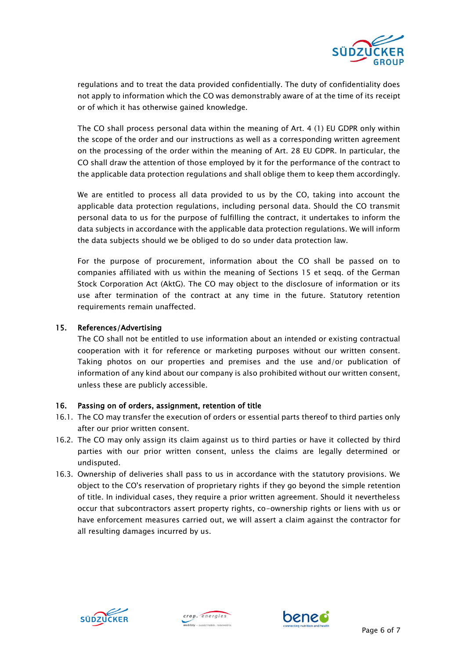

regulations and to treat the data provided confidentially. The duty of confidentiality does not apply to information which the CO was demonstrably aware of at the time of its receipt or of which it has otherwise gained knowledge.

The CO shall process personal data within the meaning of Art. 4 (1) EU GDPR only within the scope of the order and our instructions as well as a corresponding written agreement on the processing of the order within the meaning of Art. 28 EU GDPR. In particular, the CO shall draw the attention of those employed by it for the performance of the contract to the applicable data protection regulations and shall oblige them to keep them accordingly.

We are entitled to process all data provided to us by the CO, taking into account the applicable data protection regulations, including personal data. Should the CO transmit personal data to us for the purpose of fulfilling the contract, it undertakes to inform the data subjects in accordance with the applicable data protection regulations. We will inform the data subjects should we be obliged to do so under data protection law.

For the purpose of procurement, information about the CO shall be passed on to companies affiliated with us within the meaning of Sections 15 et seqq. of the German Stock Corporation Act (AktG). The CO may object to the disclosure of information or its use after termination of the contract at any time in the future. Statutory retention requirements remain unaffected.

# 15. References/Advertising

The CO shall not be entitled to use information about an intended or existing contractual cooperation with it for reference or marketing purposes without our written consent. Taking photos on our properties and premises and the use and/or publication of information of any kind about our company is also prohibited without our written consent, unless these are publicly accessible.

# 16. Passing on of orders, assignment, retention of title

- 16.1. The CO may transfer the execution of orders or essential parts thereof to third parties only after our prior written consent.
- 16.2. The CO may only assign its claim against us to third parties or have it collected by third parties with our prior written consent, unless the claims are legally determined or undisputed.
- 16.3. Ownership of deliveries shall pass to us in accordance with the statutory provisions. We object to the CO's reservation of proprietary rights if they go beyond the simple retention of title. In individual cases, they require a prior written agreement. Should it nevertheless occur that subcontractors assert property rights, co-ownership rights or liens with us or have enforcement measures carried out, we will assert a claim against the contractor for all resulting damages incurred by us.